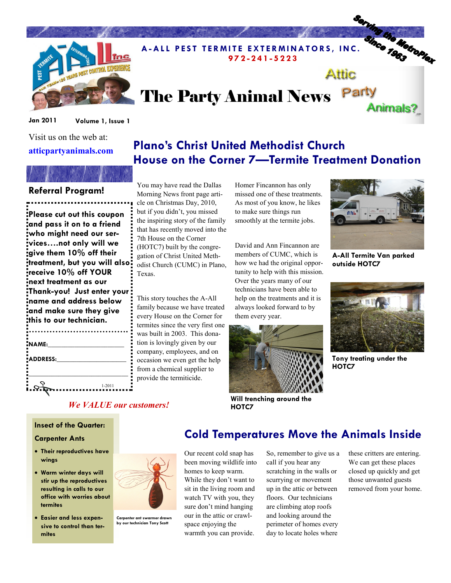

## A-ALL PEST TERMITE EXTERMINATORS, INC. The Top of the Reserve that the contract of the Contract of the Contract of the Contract of the Contract of the Contract of the Contract of the Contract of the Contract of the Contrac 9 7 2 - 2 4 1 - 5 2 2 3 Attic

# The Party Animal News Party

Plano's Christ United Methodist Church

Jan 2011 Volume 1, Issue 1

Visit us on the web at:

#### atticpartyanimals.com

### Referral Program!

Please cut out this coupon and pass it on to a friend who might need our services….not only will we give them 10% off their treatment, but you will also receive 10% off YOUR next treatment as our Thank-you! Just enter your name and address below and make sure they give this to our technician.

| NAME:    |            |
|----------|------------|
| ADDRESS: |            |
|          |            |
|          |            |
|          | $1 - 2011$ |

You may have read the Dallas Morning News front page article on Christmas Day, 2010, but if you didn't, you missed the inspiring story of the family that has recently moved into the 7th House on the Corner (HOTC7) built by the congregation of Christ United Methodist Church (CUMC) in Plano, Texas.

This story touches the A-All family because we have treated every House on the Corner for termites since the very first one was built in 2003. This donation is lovingly given by our company, employees, and on occasion we even get the help from a chemical supplier to provide the termiticide.

Homer Fincannon has only missed one of these treatments. As most of you know, he likes to make sure things run smoothly at the termite jobs.

House on the Corner 7—Termite Treatment Donation

David and Ann Fincannon are members of CUMC, which is how we had the original opportunity to help with this mission. Over the years many of our technicians have been able to help on the treatments and it is always looked forward to by them every year.



Will trenching around the HOTC7



Animals?

A-All Termite Van parked outside HOTC7



Tony treating under the HOTC7

#### We VALUE our customers!

#### Insect of the Quarter:

#### Carpenter Ants

- Their reproductives have wings
- Warm winter days will stir up the reproductives resulting in calls to our office with worries about termites
- Easier and less expensive to control than termites



Carpenter ant swarmer drawn by our technician Tony Scott

### Cold Temperatures Move the Animals Inside

Our recent cold snap has been moving wildlife into homes to keep warm. While they don't want to sit in the living room and watch TV with you, they sure don't mind hanging our in the attic or crawlspace enjoying the warmth you can provide.

So, remember to give us a call if you hear any scratching in the walls or scurrying or movement up in the attic or between floors. Our technicians are climbing atop roofs and looking around the perimeter of homes every day to locate holes where

these critters are entering. We can get these places closed up quickly and get those unwanted guests removed from your home.